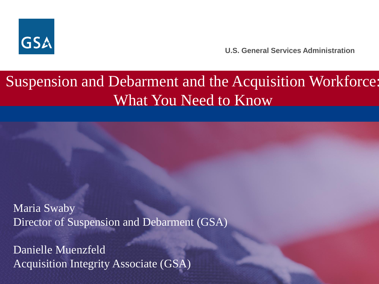

**U.S. General Services Administration**

#### Suspension and Debarment and the Acquisition Workforce: What You Need to Know

Maria Swaby Director of Suspension and Debarment (GSA)

Danielle Muenzfeld Acquisition Integrity Associate (GSA)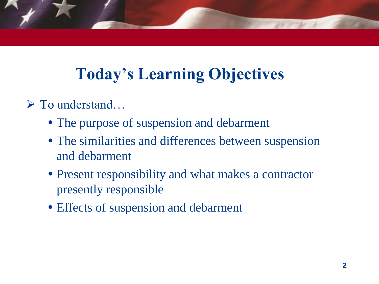## **Today's Learning Objectives**

#### $\triangleright$  To understand...

- The purpose of suspension and debarment
- The similarities and differences between suspension and debarment
- Present responsibility and what makes a contractor presently responsible
- Effects of suspension and debarment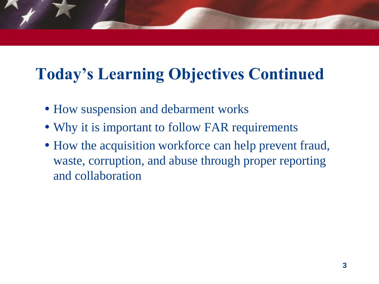## **Today's Learning Objectives Continued**

- How suspension and debarment works
- Why it is important to follow FAR requirements
- How the acquisition workforce can help prevent fraud, waste, corruption, and abuse through proper reporting and collaboration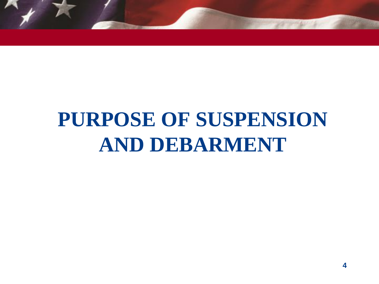

# **PURPOSE OF SUSPENSION AND DEBARMENT**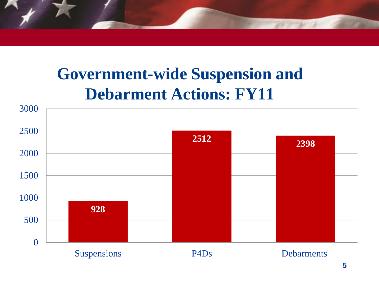#### **Government-wide Suspension and Debarment Actions: FY11**

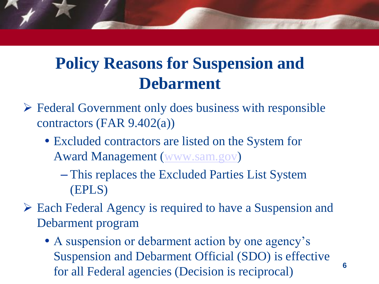#### **Policy Reasons for Suspension and Debarment**

- $\triangleright$  Federal Government only does business with responsible contractors (FAR 9.402(a))
	- Excluded contractors are listed on the System for Award Management [\(www.sam.gov\)](http://www.sam.gov/)
		- This replaces the Excluded Parties List System (EPLS)
- Each Federal Agency is required to have a Suspension and Debarment program
	- A suspension or debarment action by one agency's Suspension and Debarment Official (SDO) is effective for all Federal agencies (Decision is reciprocal) **<sup>6</sup>**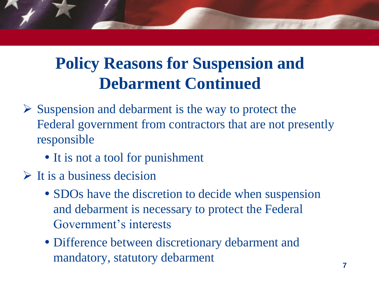## **Policy Reasons for Suspension and Debarment Continued**

- $\triangleright$  Suspension and debarment is the way to protect the Federal government from contractors that are not presently responsible
	- It is not a tool for punishment
- $\triangleright$  It is a business decision
	- SDOs have the discretion to decide when suspension and debarment is necessary to protect the Federal Government's interests
	- Difference between discretionary debarment and mandatory, statutory debarment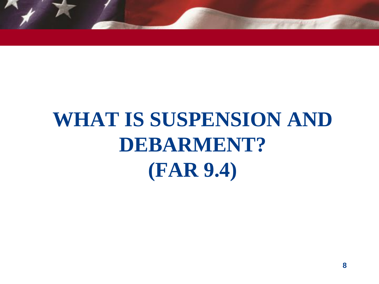

# **WHAT IS SUSPENSION AND DEBARMENT? (FAR 9.4)**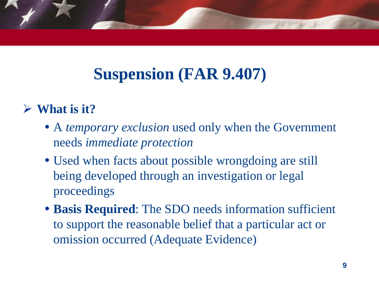## **Suspension (FAR 9.407)**

#### **What is it?**

- A *temporary exclusion* used only when the Government needs *immediate protection*
- Used when facts about possible wrongdoing are still being developed through an investigation or legal proceedings
- **Basis Required**: The SDO needs information sufficient to support the reasonable belief that a particular act or omission occurred (Adequate Evidence)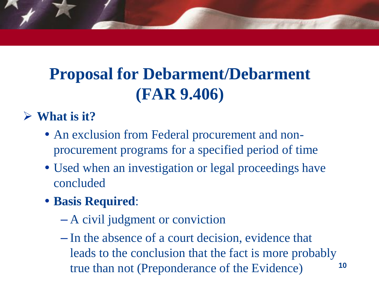## **Proposal for Debarment/Debarment (FAR 9.406)**

#### **What is it?**

- An exclusion from Federal procurement and nonprocurement programs for a specified period of time
- Used when an investigation or legal proceedings have concluded
- **Basis Required**:
	- A civil judgment or conviction
	- In the absence of a court decision, evidence that leads to the conclusion that the fact is more probably true than not (Preponderance of the Evidence) **<sup>10</sup>**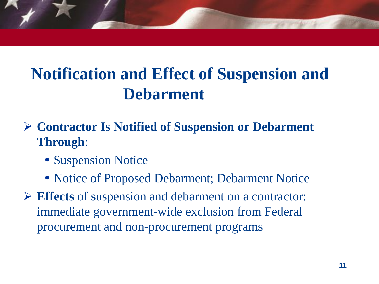

## **Notification and Effect of Suspension and Debarment**

 **Contractor Is Notified of Suspension or Debarment Through**:

- Suspension Notice
- Notice of Proposed Debarment; Debarment Notice
- **Effects** of suspension and debarment on a contractor: immediate government-wide exclusion from Federal procurement and non-procurement programs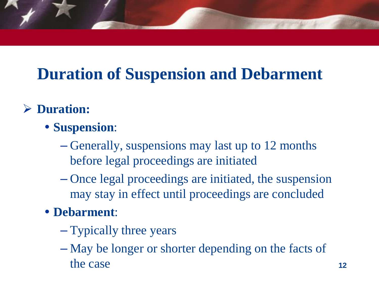## **Duration of Suspension and Debarment**

#### **Duration:**

- **Suspension**:
	- Generally, suspensions may last up to 12 months before legal proceedings are initiated
	- Once legal proceedings are initiated, the suspension may stay in effect until proceedings are concluded
- **Debarment**:
	- Typically three years
	- May be longer or shorter depending on the facts of the case **12**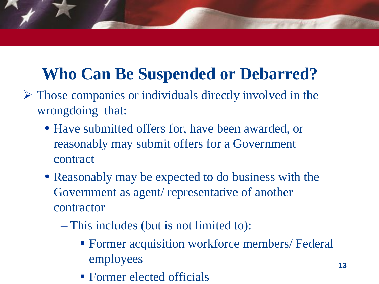## **Who Can Be Suspended or Debarred?**

- $\triangleright$  Those companies or individuals directly involved in the wrongdoing that:
	- Have submitted offers for, have been awarded, or reasonably may submit offers for a Government contract
	- Reasonably may be expected to do business with the Government as agent/ representative of another contractor
		- This includes (but is not limited to):
			- **Former acquisition workforce members/ Federal** employees
			- **Former elected officials**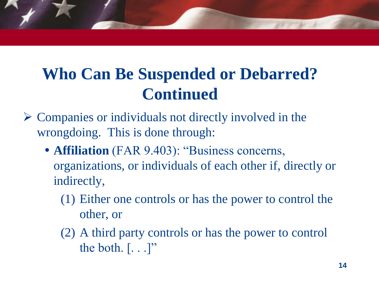- $\triangleright$  Companies or individuals not directly involved in the wrongdoing. This is done through:
	- **Affiliation** (FAR 9.403): "Business concerns, organizations, or individuals of each other if, directly or indirectly,
		- (1) Either one controls or has the power to control the other, or
		- (2) A third party controls or has the power to control the both.  $[\ldots]$ "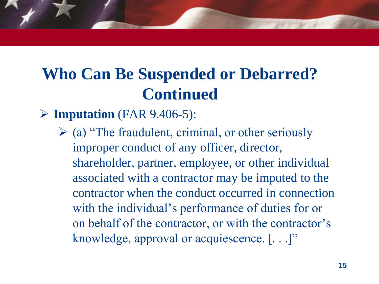#### **Imputation** (FAR 9.406-5):

 $\triangleright$  (a) "The fraudulent, criminal, or other seriously improper conduct of any officer, director, shareholder, partner, employee, or other individual associated with a contractor may be imputed to the contractor when the conduct occurred in connection with the individual's performance of duties for or on behalf of the contractor, or with the contractor's knowledge, approval or acquiescence. [...]"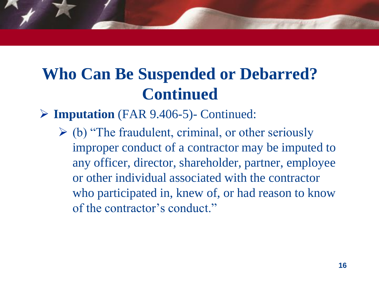**Imputation** (FAR 9.406-5)- Continued:

 $\geq$  (b) "The fraudulent, criminal, or other seriously improper conduct of a contractor may be imputed to any officer, director, shareholder, partner, employee or other individual associated with the contractor who participated in, knew of, or had reason to know of the contractor's conduct."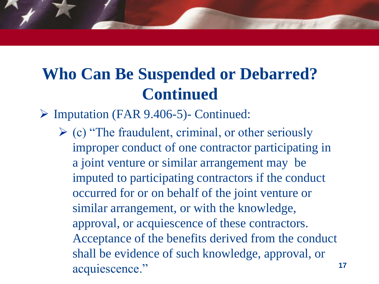Imputation (FAR 9.406-5)- Continued:

 $\triangleright$  (c) "The fraudulent, criminal, or other seriously improper conduct of one contractor participating in a joint venture or similar arrangement may be imputed to participating contractors if the conduct occurred for or on behalf of the joint venture or similar arrangement, or with the knowledge, approval, or acquiescence of these contractors. Acceptance of the benefits derived from the conduct shall be evidence of such knowledge, approval, or acquiescence." **<sup>17</sup>**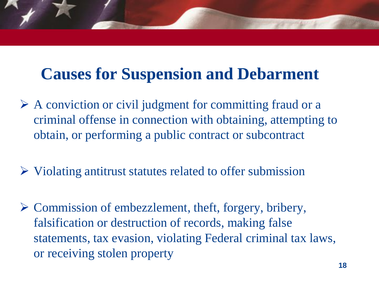#### **Causes for Suspension and Debarment**

- A conviction or civil judgment for committing fraud or a criminal offense in connection with obtaining, attempting to obtain, or performing a public contract or subcontract
- $\triangleright$  Violating antitrust statutes related to offer submission
- Commission of embezzlement, theft, forgery, bribery, falsification or destruction of records, making false statements, tax evasion, violating Federal criminal tax laws, or receiving stolen property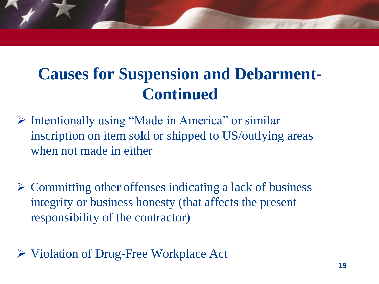- Intentionally using "Made in America" or similar inscription on item sold or shipped to US/outlying areas when not made in either
- $\triangleright$  Committing other offenses indicating a lack of business integrity or business honesty (that affects the present responsibility of the contractor)
- ► Violation of Drug-Free Workplace Act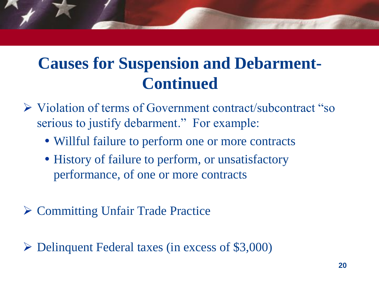- Violation of terms of Government contract/subcontract "so serious to justify debarment." For example:
	- Willful failure to perform one or more contracts
	- History of failure to perform, or unsatisfactory performance, of one or more contracts
- **► Committing Unfair Trade Practice**

Delinquent Federal taxes (in excess of \$3,000)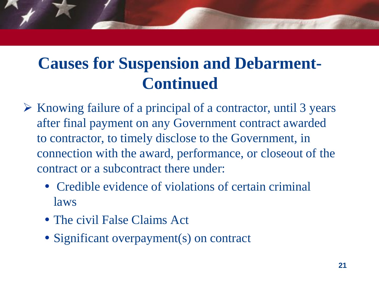- $\triangleright$  Knowing failure of a principal of a contractor, until 3 years after final payment on any Government contract awarded to contractor, to timely disclose to the Government, in connection with the award, performance, or closeout of the contract or a subcontract there under:
	- Credible evidence of violations of certain criminal laws
	- The civil False Claims Act
	- Significant overpayment(s) on contract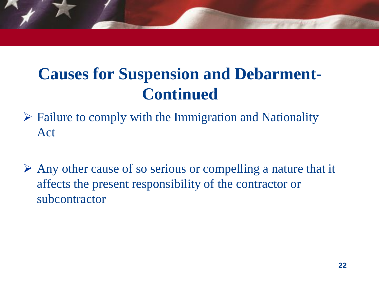

- $\triangleright$  Failure to comply with the Immigration and Nationality Act
- $\triangleright$  Any other cause of so serious or compelling a nature that it affects the present responsibility of the contractor or subcontractor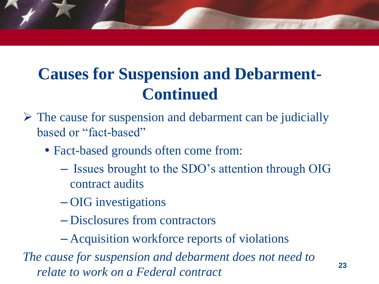- $\triangleright$  The cause for suspension and debarment can be judicially based or "fact-based"
	- Fact-based grounds often come from:
		- Issues brought to the SDO's attention through OIG contract audits
		- OIG investigations
		- Disclosures from contractors
		- Acquisition workforce reports of violations

*The cause for suspension and debarment does not need to relate to work on a Federal contract* **<sup>23</sup>**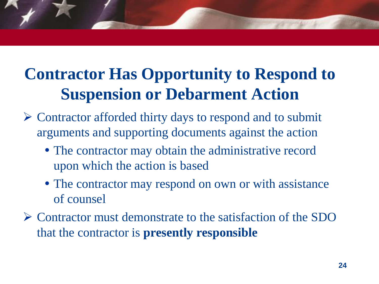## **Contractor Has Opportunity to Respond to Suspension or Debarment Action**

- $\triangleright$  Contractor afforded thirty days to respond and to submit arguments and supporting documents against the action
	- The contractor may obtain the administrative record upon which the action is based
	- The contractor may respond on own or with assistance of counsel
- Contractor must demonstrate to the satisfaction of the SDO that the contractor is **presently responsible**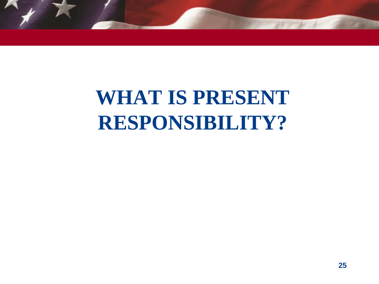

# **WHAT IS PRESENT RESPONSIBILITY?**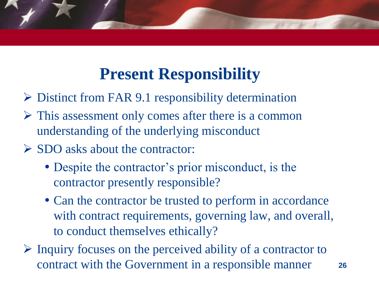### **Present Responsibility**

- $\triangleright$  Distinct from FAR 9.1 responsibility determination
- $\triangleright$  This assessment only comes after there is a common understanding of the underlying misconduct
- $\triangleright$  SDO asks about the contractor:
	- Despite the contractor's prior misconduct, is the contractor presently responsible?
	- Can the contractor be trusted to perform in accordance with contract requirements, governing law, and overall, to conduct themselves ethically?

 $\triangleright$  Inquiry focuses on the perceived ability of a contractor to contract with the Government in a responsible manner **<sup>26</sup>**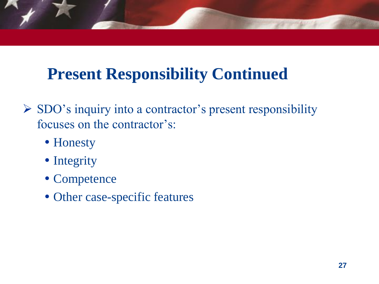## **Present Responsibility Continued**

- $\triangleright$  SDO's inquiry into a contractor's present responsibility focuses on the contractor's:
	- Honesty
	- Integrity
	- Competence
	- Other case-specific features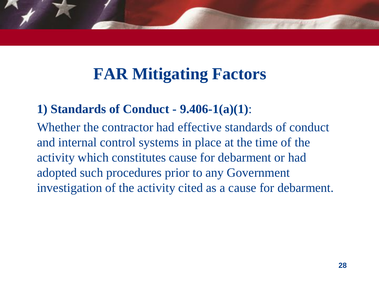## **FAR Mitigating Factors**

#### **1) Standards of Conduct - 9.406-1(a)(1)**:

 Whether the contractor had effective standards of conduct and internal control systems in place at the time of the activity which constitutes cause for debarment or had adopted such procedures prior to any Government investigation of the activity cited as a cause for debarment.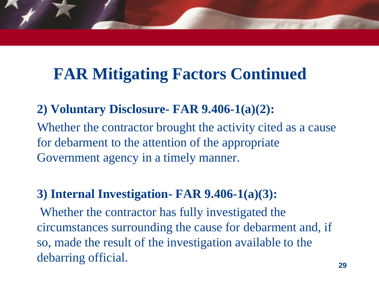#### **2) Voluntary Disclosure- FAR 9.406-1(a)(2):**

 Whether the contractor brought the activity cited as a cause for debarment to the attention of the appropriate Government agency in a timely manner.

#### **3) Internal Investigation- FAR 9.406-1(a)(3):**

 Whether the contractor has fully investigated the circumstances surrounding the cause for debarment and, if so, made the result of the investigation available to the debarring official.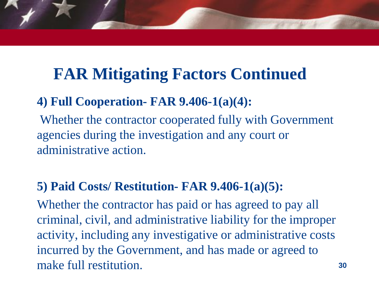#### **4) Full Cooperation- FAR 9.406-1(a)(4):**

 Whether the contractor cooperated fully with Government agencies during the investigation and any court or administrative action.

#### **5) Paid Costs/ Restitution- FAR 9.406-1(a)(5):**

 Whether the contractor has paid or has agreed to pay all criminal, civil, and administrative liability for the improper activity, including any investigative or administrative costs incurred by the Government, and has made or agreed to make full restitution. **30**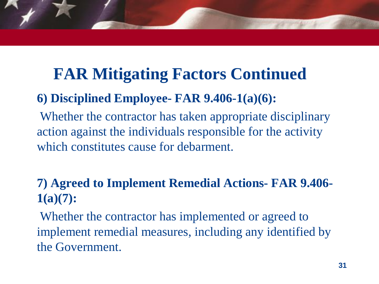#### **6) Disciplined Employee- FAR 9.406-1(a)(6):**

 Whether the contractor has taken appropriate disciplinary action against the individuals responsible for the activity which constitutes cause for debarment.

#### **7) Agreed to Implement Remedial Actions- FAR 9.406- 1(a)(7):**

 Whether the contractor has implemented or agreed to implement remedial measures, including any identified by the Government.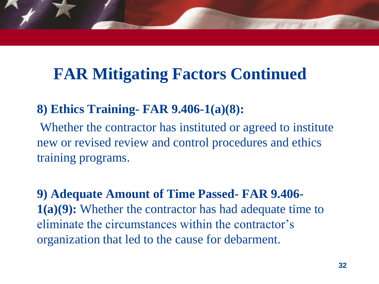#### **8) Ethics Training- FAR 9.406-1(a)(8):**

 Whether the contractor has instituted or agreed to institute new or revised review and control procedures and ethics training programs.

 **9) Adequate Amount of Time Passed- FAR 9.406- 1(a)(9):** Whether the contractor has had adequate time to eliminate the circumstances within the contractor's organization that led to the cause for debarment.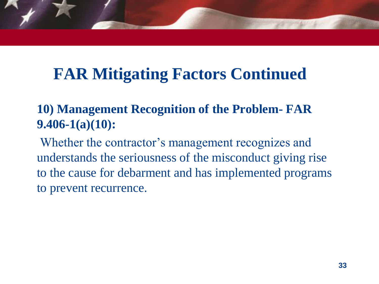#### **10) Management Recognition of the Problem- FAR 9.406-1(a)(10):**

Whether the contractor's management recognizes and understands the seriousness of the misconduct giving rise to the cause for debarment and has implemented programs to prevent recurrence.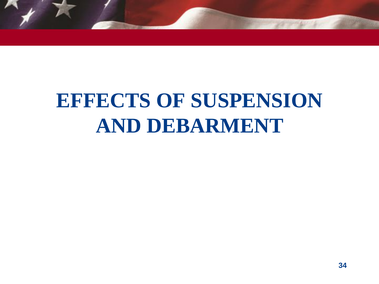

# **EFFECTS OF SUSPENSION AND DEBARMENT**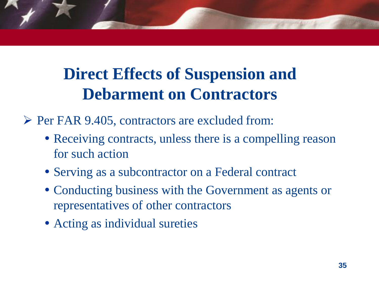## **Direct Effects of Suspension and Debarment on Contractors**

 $\triangleright$  Per FAR 9.405, contractors are excluded from:

- Receiving contracts, unless there is a compelling reason for such action
- Serving as a subcontractor on a Federal contract
- Conducting business with the Government as agents or representatives of other contractors
- Acting as individual sureties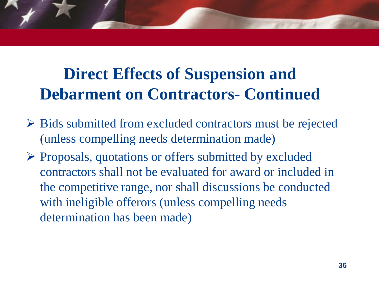## **Direct Effects of Suspension and Debarment on Contractors- Continued**

- Bids submitted from excluded contractors must be rejected (unless compelling needs determination made)
- Proposals, quotations or offers submitted by excluded contractors shall not be evaluated for award or included in the competitive range, nor shall discussions be conducted with ineligible offerors (unless compelling needs determination has been made)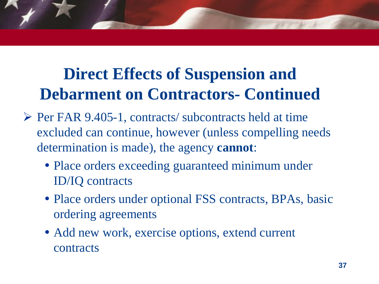## **Direct Effects of Suspension and Debarment on Contractors- Continued**

- $\triangleright$  Per FAR 9.405-1, contracts/ subcontracts held at time excluded can continue, however (unless compelling needs determination is made), the agency **cannot**:
	- Place orders exceeding guaranteed minimum under ID/IQ contracts
	- Place orders under optional FSS contracts, BPAs, basic ordering agreements
	- Add new work, exercise options, extend current contracts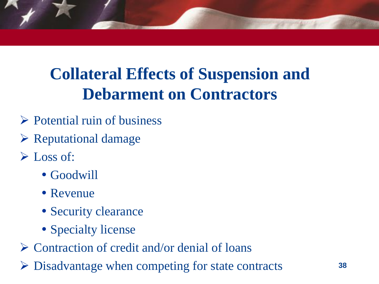## **Collateral Effects of Suspension and Debarment on Contractors**

- $\triangleright$  Potential ruin of business
- $\triangleright$  Reputational damage
- Loss of:
	- Goodwill
	- Revenue
	- Security clearance
	- Specialty license
- $\triangleright$  Contraction of credit and/or denial of loans
- Disadvantage when competing for state contracts **<sup>38</sup>**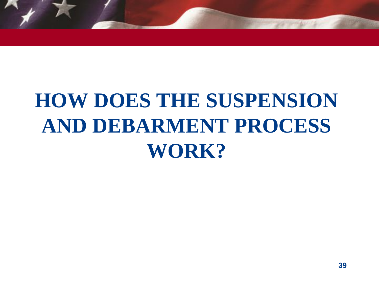

# **HOW DOES THE SUSPENSION AND DEBARMENT PROCESS WORK?**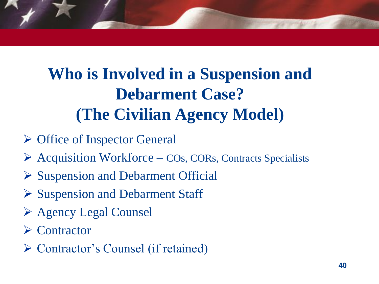

## **Who is Involved in a Suspension and Debarment Case? (The Civilian Agency Model)**

- **► Office of Inspector General**
- $\triangleright$  Acquisition Workforce COs, CORs, Contracts Specialists
- $\triangleright$  Suspension and Debarment Official
- $\triangleright$  Suspension and Debarment Staff
- Agency Legal Counsel
- $\triangleright$  Contractor
- Contractor's Counsel (if retained)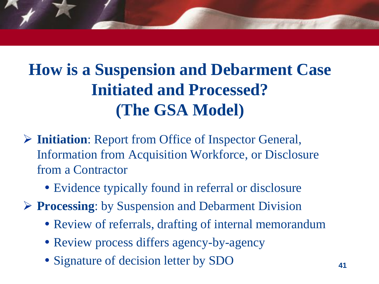## **How is a Suspension and Debarment Case Initiated and Processed? (The GSA Model)**

- **Initiation**: Report from Office of Inspector General, Information from Acquisition Workforce, or Disclosure from a Contractor
	- Evidence typically found in referral or disclosure
- **Processing**: by Suspension and Debarment Division
	- Review of referrals, drafting of internal memorandum
	- Review process differs agency-by-agency
	- Signature of decision letter by SDO 41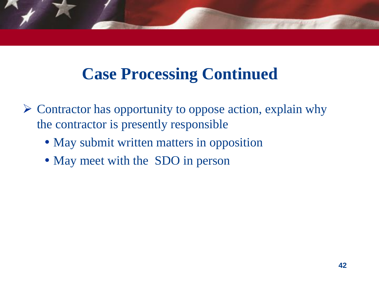### **Case Processing Continued**

- $\triangleright$  Contractor has opportunity to oppose action, explain why the contractor is presently responsible
	- May submit written matters in opposition
	- May meet with the SDO in person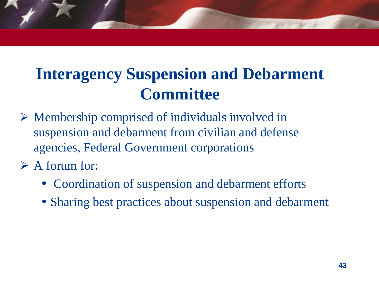#### **Interagency Suspension and Debarment Committee**

- $\triangleright$  Membership comprised of individuals involved in suspension and debarment from civilian and defense agencies, Federal Government corporations
- $\triangleright$  A forum for:
	- Coordination of suspension and debarment efforts
	- Sharing best practices about suspension and debarment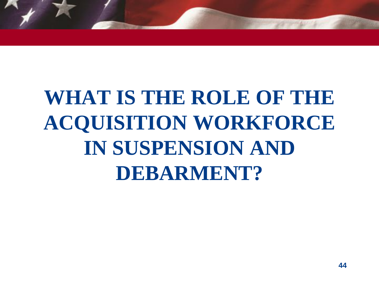

# WHAT IS THE ROLE OF THE **ACQUISITION WORKFORCE IN SUSPENSION AND DEBARMENT?**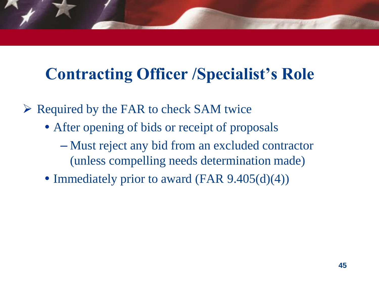## **Contracting Officer /Specialist's Role**

 $\triangleright$  Required by the FAR to check SAM twice

- After opening of bids or receipt of proposals
	- Must reject any bid from an excluded contractor (unless compelling needs determination made)
- Immediately prior to award (FAR  $9.405(d)(4)$ )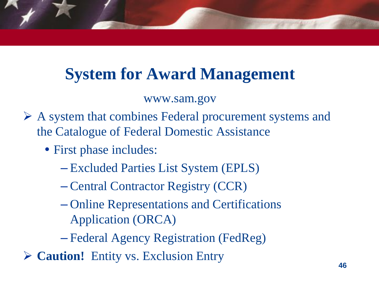## **System for Award Management**

#### www.sam.gov

 A system that combines Federal procurement systems and the Catalogue of Federal Domestic Assistance

- First phase includes:
	- Excluded Parties List System (EPLS)
	- Central Contractor Registry (CCR)
	- Online Representations and Certifications Application (ORCA)
	- Federal Agency Registration (FedReg)
- **Caution!** Entity vs. Exclusion Entry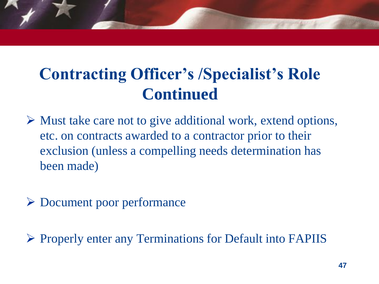### **Contracting Officer's /Specialist's Role Continued**

- $\triangleright$  Must take care not to give additional work, extend options, etc. on contracts awarded to a contractor prior to their exclusion (unless a compelling needs determination has been made)
- Document poor performance

 $\triangleright$  Properly enter any Terminations for Default into FAPIIS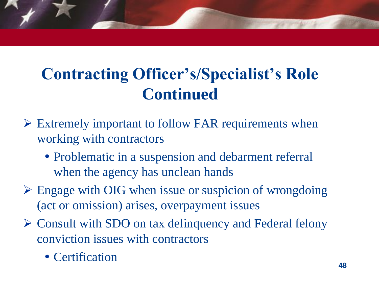## **Contracting Officer's/Specialist's Role Continued**

- $\triangleright$  Extremely important to follow FAR requirements when working with contractors
	- Problematic in a suspension and debarment referral when the agency has unclean hands
- $\triangleright$  Engage with OIG when issue or suspicion of wrongdoing (act or omission) arises, overpayment issues
- Consult with SDO on tax delinquency and Federal felony conviction issues with contractors
	- Certification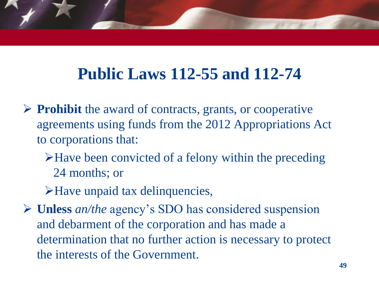### **Public Laws 112-55 and 112-74**

- **Prohibit** the award of contracts, grants, or cooperative agreements using funds from the 2012 Appropriations Act to corporations that:
	- Have been convicted of a felony within the preceding 24 months; or
	- Have unpaid tax delinquencies,

 **Unless** *an/the* agency's SDO has considered suspension and debarment of the corporation and has made a determination that no further action is necessary to protect the interests of the Government.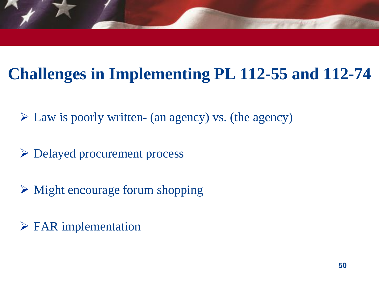

### **Challenges in Implementing PL 112-55 and 112-74**

- $\triangleright$  Law is poorly written- (an agency) vs. (the agency)
- Delayed procurement process
- $\triangleright$  Might encourage forum shopping
- $\triangleright$  FAR implementation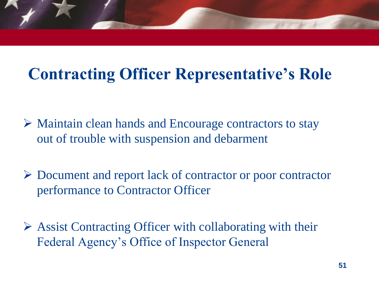### **Contracting Officer Representative's Role**

 Maintain clean hands and Encourage contractors to stay out of trouble with suspension and debarment

 Document and report lack of contractor or poor contractor performance to Contractor Officer

 $\triangleright$  Assist Contracting Officer with collaborating with their Federal Agency's Office of Inspector General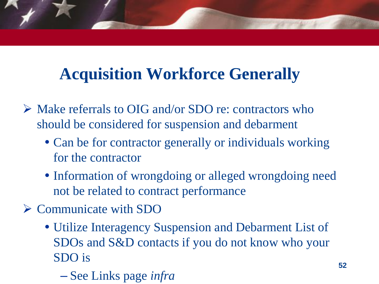### **Acquisition Workforce Generally**

- Make referrals to OIG and/or SDO re: contractors who should be considered for suspension and debarment
	- Can be for contractor generally or individuals working for the contractor
	- Information of wrongdoing or alleged wrongdoing need not be related to contract performance
- Communicate with SDO
	- Utilize Interagency Suspension and Debarment List of SDOs and S&D contacts if you do not know who your SDO is
		- See Links page *infra*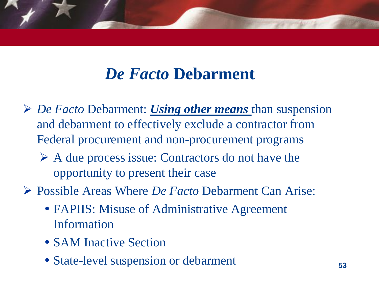#### *De Facto* **Debarment**

- *De Facto* Debarment: *Using other means* than suspension and debarment to effectively exclude a contractor from Federal procurement and non-procurement programs
	- $\triangleright$  A due process issue: Contractors do not have the opportunity to present their case
- Possible Areas Where *De Facto* Debarment Can Arise:
	- FAPIIS: Misuse of Administrative Agreement Information
	- SAM Inactive Section
	- State-level suspension or debarment **<sup>53</sup>**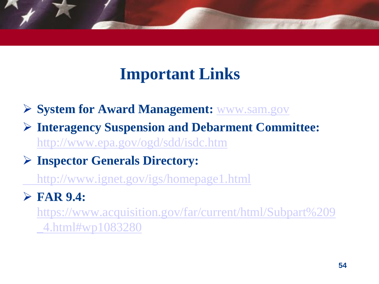#### **Important Links**

**System for Award Management:** [www.sam.gov](http://www.sam.gov/)

- **Interagency Suspension and Debarment Committee:** <http://www.epa.gov/ogd/sdd/isdc.htm>
- **Inspector Generals Directory:**

[http://www.ignet.gov/igs/homepage1.html](#page-53-0)

#### **FAR 9.4:**

<span id="page-53-0"></span>[https://www.acquisition.gov/far/current/html/Subpart%209](#page-53-0) \_4.html#wp1083280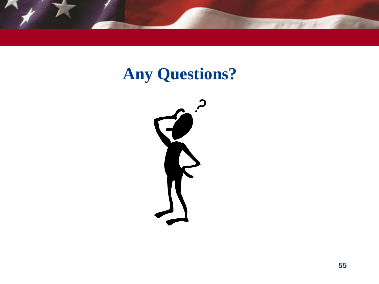

#### **Any Questions?**